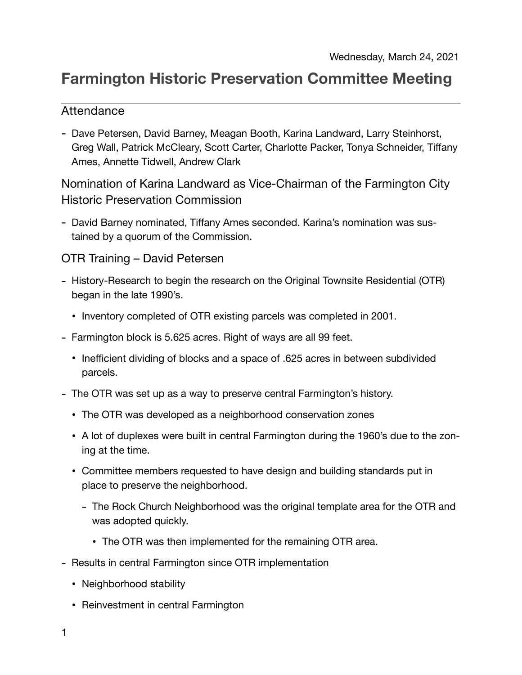# **Farmington Historic Preservation Committee Meeting**

## Attendance

- Dave Petersen, David Barney, Meagan Booth, Karina Landward, Larry Steinhorst, Greg Wall, Patrick McCleary, Scott Carter, Charlotte Packer, Tonya Schneider, Tiffany Ames, Annette Tidwell, Andrew Clark

Nomination of Karina Landward as Vice-Chairman of the Farmington City Historic Preservation Commission

- David Barney nominated, Tiffany Ames seconded. Karina's nomination was sustained by a quorum of the Commission.

### OTR Training – David Petersen

- History-Research to begin the research on the Original Townsite Residential (OTR) began in the late 1990's.
	- Inventory completed of OTR existing parcels was completed in 2001.
- Farmington block is 5.625 acres. Right of ways are all 99 feet.
	- Inefficient dividing of blocks and a space of .625 acres in between subdivided parcels.
- The OTR was set up as a way to preserve central Farmington's history.
	- The OTR was developed as a neighborhood conservation zones
	- A lot of duplexes were built in central Farmington during the 1960's due to the zoning at the time.
	- Committee members requested to have design and building standards put in place to preserve the neighborhood.
		- The Rock Church Neighborhood was the original template area for the OTR and was adopted quickly.
			- The OTR was then implemented for the remaining OTR area.
- Results in central Farmington since OTR implementation
	- Neighborhood stability
	- Reinvestment in central Farmington